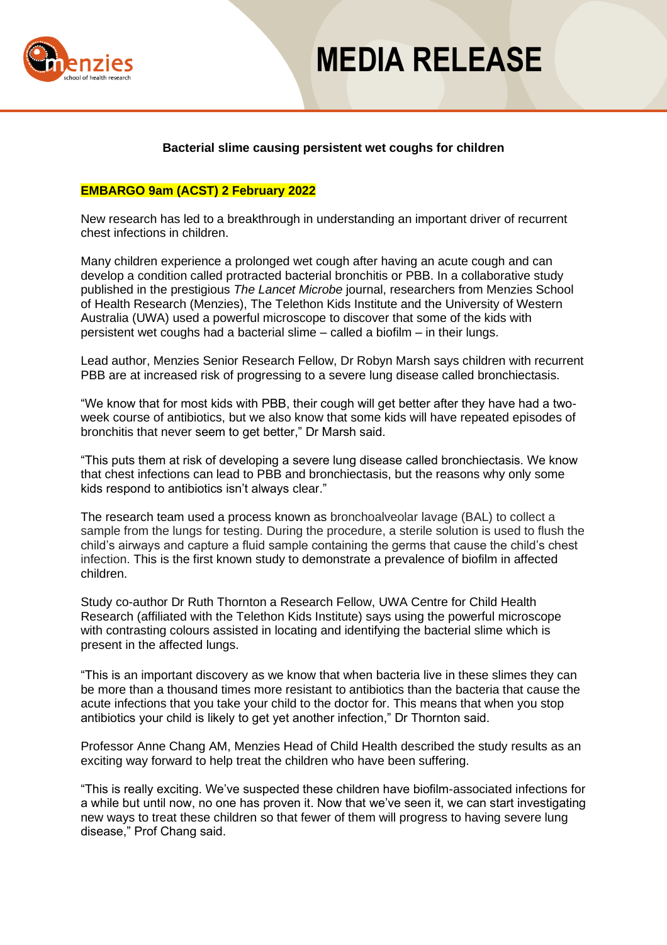

## **MEDIA RELEASE**

### **Bacterial slime causing persistent wet coughs for children**

### **EMBARGO 9am (ACST) 2 February 2022**

New research has led to a breakthrough in understanding an important driver of recurrent chest infections in children.

Many children experience a prolonged wet cough after having an acute cough and can develop a condition called protracted bacterial bronchitis or PBB. In a collaborative study published in the prestigious *The Lancet Microbe* journal, researchers from Menzies School of Health Research (Menzies), The Telethon Kids Institute and the University of Western Australia (UWA) used a powerful microscope to discover that some of the kids with persistent wet coughs had a bacterial slime – called a biofilm – in their lungs.

Lead author, Menzies Senior Research Fellow, Dr Robyn Marsh says children with recurrent PBB are at increased risk of progressing to a severe lung disease called bronchiectasis.

"We know that for most kids with PBB, their cough will get better after they have had a twoweek course of antibiotics, but we also know that some kids will have repeated episodes of bronchitis that never seem to get better," Dr Marsh said.

"This puts them at risk of developing a severe lung disease called bronchiectasis. We know that chest infections can lead to PBB and bronchiectasis, but the reasons why only some kids respond to antibiotics isn't always clear."

The research team used a process known as bronchoalveolar lavage (BAL) to collect a sample from the lungs for testing. During the procedure, a sterile solution is used to flush the child's airways and capture a fluid sample containing the germs that cause the child's chest infection. This is the first known study to demonstrate a prevalence of biofilm in affected children.

Study co-author Dr Ruth Thornton a Research Fellow, UWA Centre for Child Health Research (affiliated with the Telethon Kids Institute) says using the powerful microscope with contrasting colours assisted in locating and identifying the bacterial slime which is present in the affected lungs.

"This is an important discovery as we know that when bacteria live in these slimes they can be more than a thousand times more resistant to antibiotics than the bacteria that cause the acute infections that you take your child to the doctor for. This means that when you stop antibiotics your child is likely to get yet another infection," Dr Thornton said.

Professor Anne Chang AM, Menzies Head of Child Health described the study results as an exciting way forward to help treat the children who have been suffering.

"This is really exciting. We've suspected these children have biofilm-associated infections for a while but until now, no one has proven it. Now that we've seen it, we can start investigating new ways to treat these children so that fewer of them will progress to having severe lung disease," Prof Chang said.